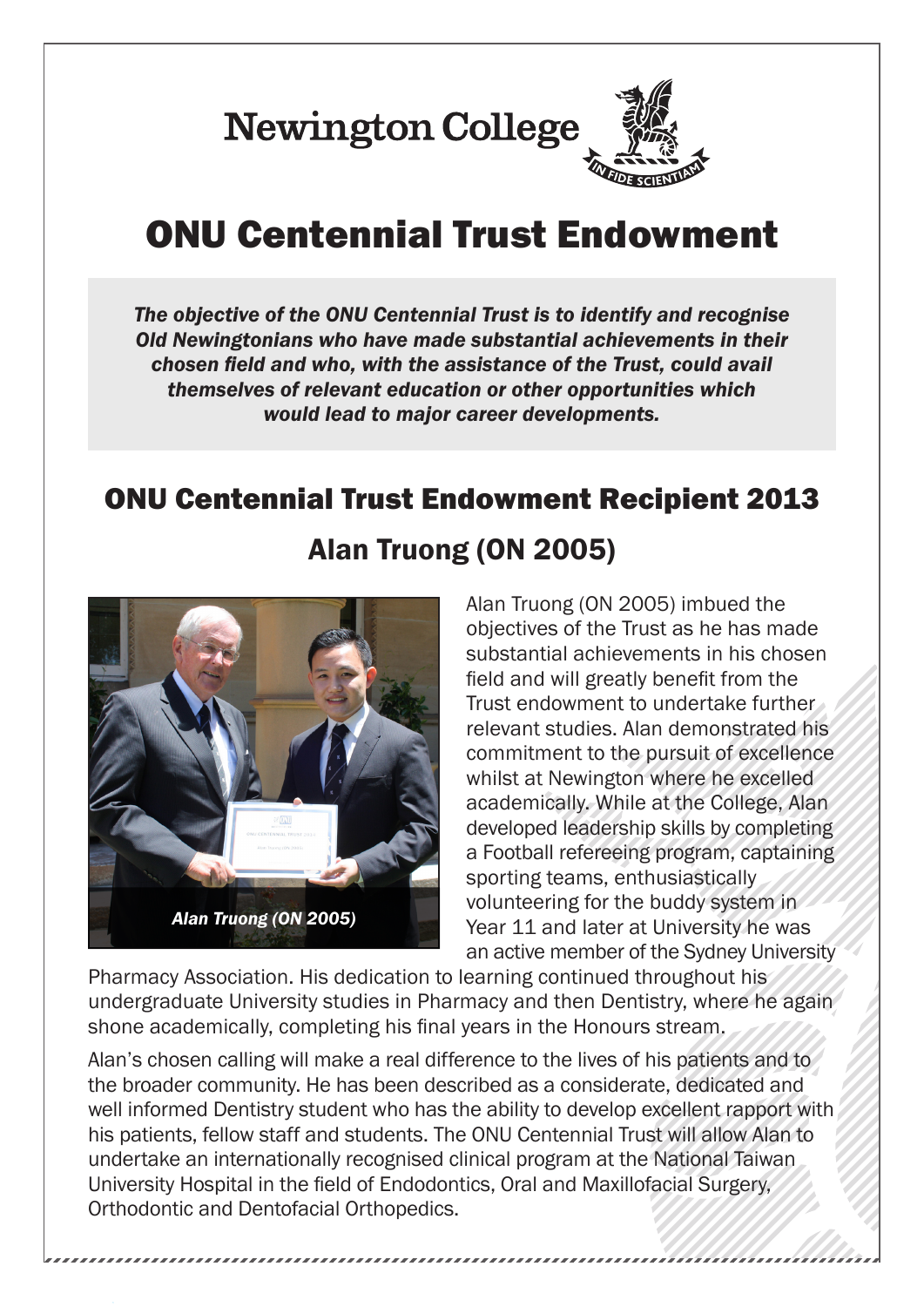

## ONU Centennial Trust Endowment

*The objective of the ONU Centennial Trust is to identify and recognise Old Newingtonians who have made substantial achievements in their chosen field and who, with the assistance of the Trust, could avail themselves of relevant education or other opportunities which would lead to major career developments.*

### ONU Centennial Trust Endowment Recipient 2013





Alan Truong (ON 2005) imbued the objectives of the Trust as he has made substantial achievements in his chosen field and will greatly benefit from the Trust endowment to undertake further relevant studies. Alan demonstrated his commitment to the pursuit of excellence whilst at Newington where he excelled academically. While at the College, Alan developed leadership skills by completing a Football refereeing program, captaining sporting teams, enthusiastically volunteering for the buddy system in Year 11 and later at University he was an active member of the Sydney University

Pharmacy Association. His dedication to learning continued throughout his undergraduate University studies in Pharmacy and then Dentistry, where he again shone academically, completing his final years in the Honours stream.

Alan's chosen calling will make a real difference to the lives of his patients and to the broader community. He has been described as a considerate, dedicated and well informed Dentistry student who has the ability to develop excellent rapport with his patients, fellow staff and students. The ONU Centennial Trust will allow Alan to undertake an internationally recognised clinical program at the National Taiwan University Hospital in the field of Endodontics, Oral and Maxillofacial Surgery, Orthodontic and Dentofacial Orthopedics.